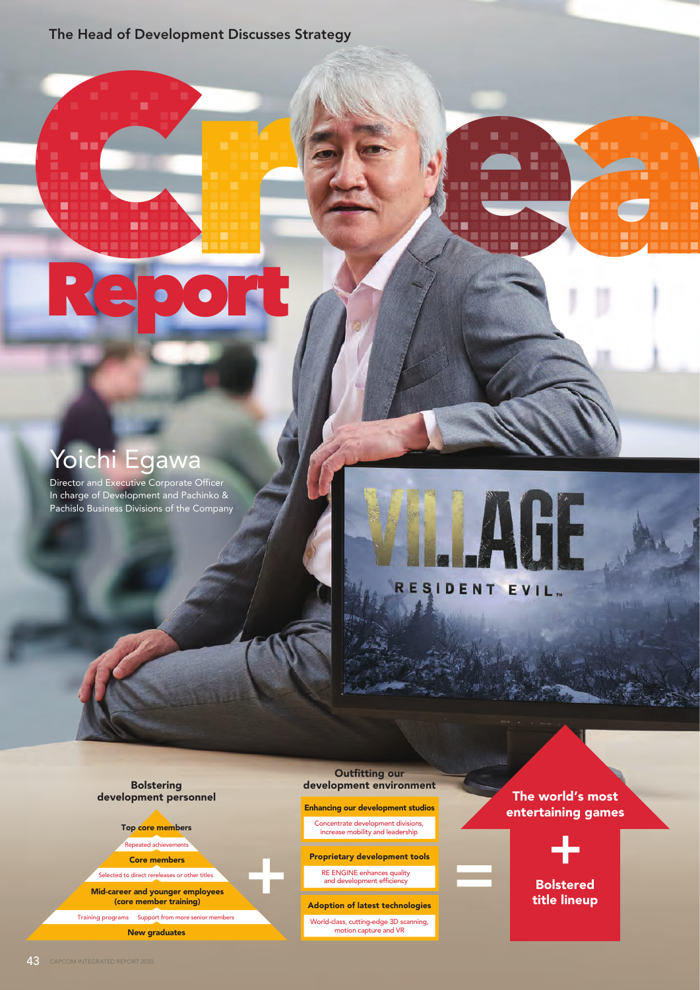The Head of Development Discusses Strategy

### Yoichi Egawa

Director and Executive Corporate Officer In charge of Development and Pachinko & Pachislo Business Divisions of the Company

Report

# RESIDENT EVIL.

Bolstering development personnel

Top core members

Repeated achievements

Core members

Selected to direct rereleases or other titles

Mid-career and younger employees (core member training)

New graduates Training programs Support from more senior members

Outfitting our development environment

Report of the Company of the Company of the Company of the Company of the Company of the Company of the Company

Enhancing our development studios

Concentrate development divisions, increase mobility and leadership

Proprietary development tools

RE ENGINE enhances quality and development efficiency \_\_\_\_\_

Adoption of latest technologies

World-class, cutting-edge 3D scanning, motion capture and VR

The world's most entertaining games



Bolstered title lineup